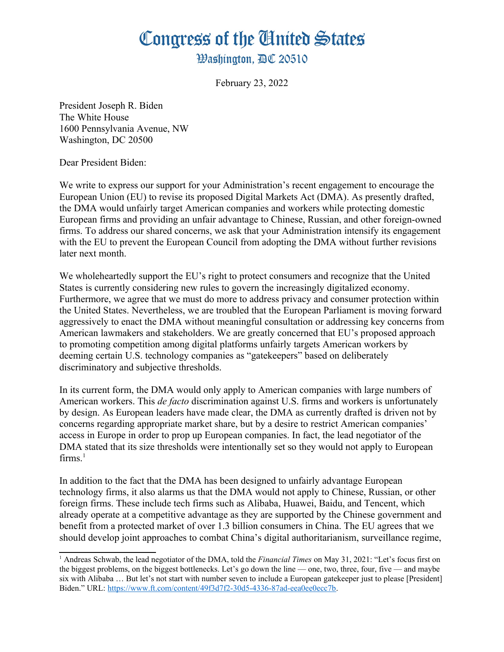## Congress of the Ginited States

**Washington. AC 20510** 

February 23, 2022

President Joseph R. Biden The White House 1600 Pennsylvania Avenue, NW Washington, DC 20500

Dear President Biden:

We write to express our support for your Administration's recent engagement to encourage the European Union (EU) to revise its proposed Digital Markets Act (DMA). As presently drafted, the DMA would unfairly target American companies and workers while protecting domestic European firms and providing an unfair advantage to Chinese, Russian, and other foreign-owned firms. To address our shared concerns, we ask that your Administration intensify its engagement with the EU to prevent the European Council from adopting the DMA without further revisions later next month.

We wholeheartedly support the EU's right to protect consumers and recognize that the United States is currently considering new rules to govern the increasingly digitalized economy. Furthermore, we agree that we must do more to address privacy and consumer protection within the United States. Nevertheless, we are troubled that the European Parliament is moving forward aggressively to enact the DMA without meaningful consultation or addressing key concerns from American lawmakers and stakeholders. We are greatly concerned that EU's proposed approach to promoting competition among digital platforms unfairly targets American workers by deeming certain U.S. technology companies as "gatekeepers" based on deliberately discriminatory and subjective thresholds.

In its current form, the DMA would only apply to American companies with large numbers of American workers. This *de facto* discrimination against U.S. firms and workers is unfortunately by design. As European leaders have made clear, the DMA as currently drafted is driven not by concerns regarding appropriate market share, but by a desire to restrict American companies' access in Europe in order to prop up European companies. In fact, the lead negotiator of the DMA stated that its size thresholds were intentionally set so they would not apply to European  $firms.<sup>1</sup>$  $firms.<sup>1</sup>$  $firms.<sup>1</sup>$ 

<span id="page-0-0"></span>In addition to the fact that the DMA has been designed to unfairly advantage European technology firms, it also alarms us that the DMA would not apply to Chinese, Russian, or other foreign firms. These include tech firms such as Alibaba, Huawei, Baidu, and Tencent, which already operate at a competitive advantage as they are supported by the Chinese government and benefit from a protected market of over 1.3 billion consumers in China. The EU agrees that we should develop joint approaches to combat China's digital authoritarianism, surveillance regime,

<span id="page-0-1"></span><sup>&</sup>lt;sup>[1](#page-0-0)</sup> Andreas Schwab, the lead negotiator of the DMA, told the *Financial Times* on May 31, 2021: "Let's focus first on the biggest problems, on the biggest bottlenecks. Let's go down the line — one, two, three, four, five — and maybe six with Alibaba … But let's not start with number seven to include a European gatekeeper just to please [President] Biden." URL: <https://www.ft.com/content/49f3d7f2-30d5-4336-87ad-eea0ee0ecc7b>.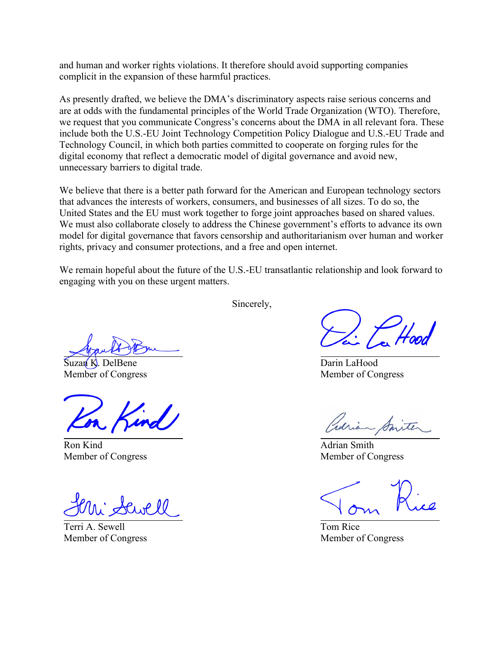and human and worker rights violations. It therefore should avoid supporting companies complicit in the expansion of these harmful practices.

As presently drafted, we believe the DMA's discriminatory aspects raise serious concerns and are at odds with the fundamental principles of the World Trade Organization (WTO). Therefore, we request that you communicate Congress's concerns about the DMA in all relevant fora. These include both the U.S.-EU Joint Technology Competition Policy Dialogue and U.S.-EU Trade and Technology Council, in which both parties committed to cooperate on forging rules for the digital economy that reflect a democratic model of digital governance and avoid new, unnecessary barriers to digital trade.

We believe that there is a better path forward for the American and European technology sectors that advances the interests of workers, consumers, and businesses of all sizes. To do so, the United States and the EU must work together to forge joint approaches based on shared values. We must also collaborate closely to address the Chinese government's efforts to advance its own model for digital governance that favors censorship and authoritarianism over human and worker rights, privacy and consumer protections, and a free and open internet.

We remain hopeful about the future of the U.S.-EU transatlantic relationship and look forward to engaging with you on these urgent matters.

Sincerely,

Suzan K. DelBene Member of Congress

Ron Kind Member of Congress

Cwell

Terri A. Sewell Member of Congress

Darin LaHood Member of Congress

- Smite

Adrian Smith Member of Congress

Tom Rice Member of Congress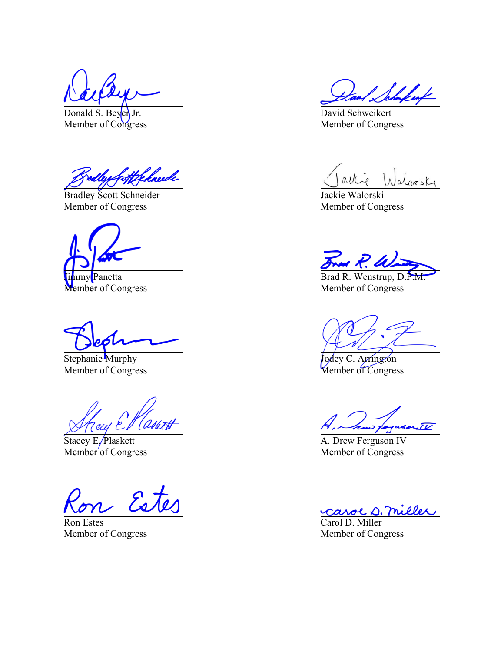Donald S. Beyen Jr. Member of Congress

a<del>t Gehne</del>de

Bradley Scott Schneider Member of Congress

Panetta Member of Congress

Stephanie Murphy Member of Congress

<sup>4</sup>Assart ray e'l

Stacey E/Plaskett Member of Congress

Ron Estes Member of Congress

David Schweikert Member of Congress

 $n\nu k$ alorski

Jackie Walorski Member of Congress

Fred R. W.

Brad R. Wenstrup,  $D.P$ . Member of Congress

Jodey C. Arrington Member of Congress

A, how personall

A. Drew Ferguson IV Member of Congress

carol D. miller

Carol D. Miller Member of Congress